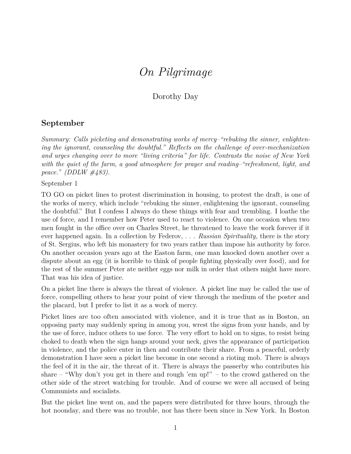## *On Pilgrimage*

## Dorothy Day

## **September**

*Summary: Calls picketing and demonstrating works of mercy–"rebuking the sinner, enlightening the ignorant, counseling the doubtful." Reflects on the challenge of over-mechanization and urges changing over to more "living criteria" for life. Contrasts the noise of New York with the quiet of the farm, a good atmosphere for prayer and reading–"refreshment, light, and peace." (DDLW #483).*

September 1

TO GO on picket lines to protest discrimination in housing, to protest the draft, is one of the works of mercy, which include "rebuking the sinner, enlightening the ignorant, counseling the doubtful." But I confess I always do these things with fear and trembling. I loathe the use of force, and I remember how Peter used to react to violence. On one occasion when two men fought in the office over on Charles Street, he threatened to leave the work forever if it ever happened again. In a collection by Federov, . . . *Russian Spirituality,* there is the story of St. Sergius, who left his monastery for two years rather than impose his authority by force. On another occasion years ago at the Easton farm, one man knocked down another over a dispute about an egg (it is horrible to think of people fighting physically over food), and for the rest of the summer Peter ate neither eggs nor milk in order that others might have more. That was his idea of justice.

On a picket line there is always the threat of violence. A picket line may be called the use of force, compelling others to hear your point of view through the medium of the poster and the placard, but I prefer to list it as a work of mercy.

Picket lines are too often associated with violence, and it is true that as in Boston, an opposing party may suddenly spring in among you, wrest the signs from your hands, and by the use of force, induce others to use force. The very effort to hold on to signs, to resist being choked to death when the sign hangs around your neck, gives the appearance of participation in violence, and the police enter in then and contribute their share. From a peaceful, orderly demonstration I have seen a picket line become in one second a rioting mob. There is always the feel of it in the air, the threat of it. There is always the passerby who contributes his share – "Why don't you get in there and rough 'em up!" – to the crowd gathered on the other side of the street watching for trouble. And of course we were all accused of being Communists and socialists.

But the picket line went on, and the papers were distributed for three hours, through the hot noonday, and there was no trouble, nor has there been since in New York. In Boston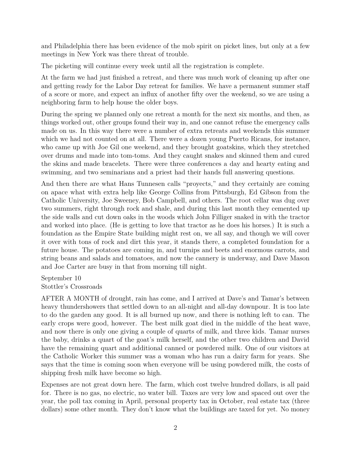and Philadelphia there has been evidence of the mob spirit on picket lines, but only at a few meetings in New York was there threat of trouble.

The picketing will continue every week until all the registration is complete.

At the farm we had just finished a retreat, and there was much work of cleaning up after one and getting ready for the Labor Day retreat for families. We have a permanent summer staff of a score or more, and expect an influx of another fifty over the weekend, so we are using a neighboring farm to help house the older boys.

During the spring we planned only one retreat a month for the next six months, and then, as things worked out, other groups found their way in, and one cannot refuse the emergency calls made on us. In this way there were a number of extra retreats and weekends this summer which we had not counted on at all. There were a dozen young Puerto Ricans, for instance, who came up with Joe Gil one weekend, and they brought goatskins, which they stretched over drums and made into tom-toms. And they caught snakes and skinned them and cured the skins and made bracelets. There were three conferences a day and hearty eating and swimming, and two seminarians and a priest had their hands full answering questions.

And then there are what Hans Tunnesen calls "proyects," and they certainly are coming on apace what with extra help like George Collins from Pittsburgh, Ed Gibson from the Catholic University, Joe Sweeney, Bob Campbell, and others. The root cellar was dug over two summers, right through rock and shale, and during this last month they cemented up the side walls and cut down oaks in the woods which John Filliger snaked in with the tractor and worked into place. (He is getting to love that tractor as he does his horses.) It is such a foundation as the Empire State building might rest on, we all say, and though we will cover it over with tons of rock and dirt this year, it stands there, a completed foundation for a future house. The potatoes are coming in, and turnips and beets and enormous carrots, and string beans and salads and tomatoes, and now the cannery is underway, and Dave Mason and Joe Carter are busy in that from morning till night.

September 10 Stottler's Crossroads

AFTER A MONTH of drought, rain has come, and I arrived at Dave's and Tamar's between heavy thundershowers that settled down to an all-night and all-day downpour. It is too late to do the garden any good. It is all burned up now, and there is nothing left to can. The early crops were good, however. The best milk goat died in the middle of the heat wave, and now there is only one giving a couple of quarts of milk, and three kids. Tamar nurses the baby, drinks a quart of the goat's milk herself, and the other two children and David have the remaining quart and additional canned or powdered milk. One of our visitors at the Catholic Worker this summer was a woman who has run a dairy farm for years. She says that the time is coming soon when everyone will be using powdered milk, the costs of shipping fresh milk have become so high.

Expenses are not great down here. The farm, which cost twelve hundred dollars, is all paid for. There is no gas, no electric, no water bill. Taxes are very low and spaced out over the year, the poll tax coming in April, personal property tax in October, real estate tax (three dollars) some other month. They don't know what the buildings are taxed for yet. No money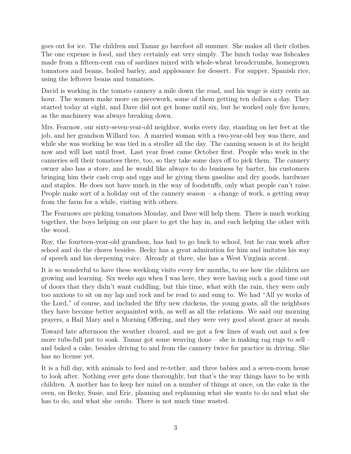goes out for ice. The children and Tamar go barefoot all summer. She makes all their clothes. The one expense is food, and they certainly eat very simply. The lunch today was fishcakes made from a fifteen-cent can of sardines mixed with whole-wheat breadcrumbs, homegrown tomatoes and beans, boiled barley, and applesauce for dessert. For supper, Spanish rice, using the leftover beans and tomatoes.

David is working in the tomato cannery a mile down the road, and his wage is sixty cents an hour. The women make more on piecework, some of them getting ten dollars a day. They started today at eight, and Dave did not get home until six, but he worked only five hours, as the machinery was always breaking down.

Mrs. Fearnow, our sixty-seven-year-old neighbor, works every day, standing on her feet at the job, and her grandson Willard too. A married woman with a two-year-old boy was there, and while she was working he was tied in a stroller all the day. The canning season is at its height now and will last until frost. Last year frost came October first. People who work in the canneries sell their tomatoes there, too, so they take some days off to pick them. The cannery owner also has a store, and he would like always to do business by barter, his customers bringing him their cash crop and eggs and he giving them gasoline and dry goods, hardware and staples. He does not have much in the way of foodstuffs, only what people can't raise. People make sort of a holiday out of the cannery season – a change of work, a getting away from the farm for a while, visiting with others.

The Fearnows are picking tomatoes Monday, and Dave will help them. There is much working together, the boys helping on our place to get the hay in, and each helping the other with the wood.

Roy, the fourteen-year-old grandson, has had to go back to school, but he can work after school and do the chores besides. Becky has a great admiration for him and imitates his way of speech and his deepening voice. Already at three, she has a West Virginia accent.

It is so wonderful to have these weeklong visits every few months, to see how the children are growing and learning. Six weeks ago when I was here, they were having such a good time out of doors that they didn't want cuddling, but this time, what with the rain, they were only too anxious to sit on my lap and rock and be read to and sung to. We had "All ye works of the Lord," of course, and included the fifty new chickens, the young goats, all the neighbors they have become better acquainted with, as well as all the relations. We said our morning prayers, a Hail Mary and a Morning Offering, and they were very good about grace at meals.

Toward late afternoon the weather cleared, and we got a few lines of wash out and a few more tubs-full put to soak. Tamar got some weaving done – she is making rag rugs to sell – and baked a cake, besides driving to and from the cannery twice for practice in driving. She has no license yet.

It is a full day, with animals to feed and re-tether, and three babies and a seven-room house to look after. Nothing ever gets done thoroughly, but that's the way things have to be with children. A mother has to keep her mind on a number of things at once, on the cake in the oven, on Becky, Susie, and Eric, planning and replanning what she wants to do and what she has to do, and what she *can*do. There is not much time wasted.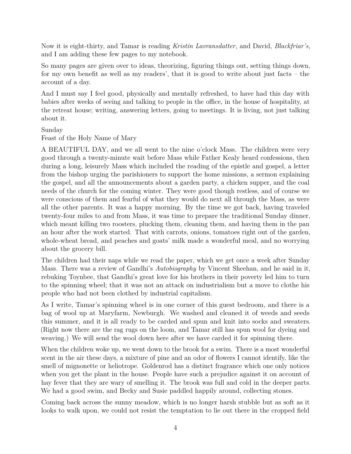Now it is eight-thirty, and Tamar is reading *Kristin Lavransdatter,* and David, *Blackfriar's,* and I am adding these few pages to my notebook.

So many pages are given over to ideas, theorizing, figuring things out, setting things down, for my own benefit as well as my readers', that it is good to write about just facts – the account of a day.

And I must say I feel good, physically and mentally refreshed, to have had this day with babies after weeks of seeing and talking to people in the office, in the house of hospitality, at the retreat house; writing, answering letters, going to meetings. It is living, not just talking about it.

## Sunday

Feast of the Holy Name of Mary

A BEAUTIFUL DAY, and we all went to the nine o'clock Mass. The children were very good through a twenty-minute wait before Mass while Father Kealy heard confessions, then during a long, leisurely Mass which included the reading of the epistle and gospel, a letter from the bishop urging the parishioners to support the home missions, a sermon explaining the gospel, and all the announcements about a garden party, a chicken supper, and the coal needs of the church for the coming winter. They were good though restless, and of course we were conscious of them and fearful of what they would do next all through the Mass, as were all the other parents. It was a happy morning. By the time we got back, having traveled twenty-four miles to and from Mass, it was time to prepare the traditional Sunday dinner, which meant killing two roosters, plucking them, cleaning them, and having them in the pan an hour after the work started. That with carrots, onions, tomatoes right out of the garden, whole-wheat bread, and peaches and goats' milk made a wonderful meal, and no worrying about the grocery bill.

The children had their naps while we read the paper, which we get once a week after Sunday Mass. There was a review of Gandhi's *Autobiography* by Vincent Sheehan, and he said in it, rebuking Toynbee, that Gandhi's great love for his brothers in their poverty led him to turn to the spinning wheel; that it was not an attack on industrialism but a move to clothe his people who had not been clothed by industrial capitalism.

As I write, Tamar's spinning wheel is in one corner of this guest bedroom, and there is a bag of wool up at Maryfarm, Newburgh. We washed and cleaned it of weeds and seeds this summer, and it is all ready to be carded and spun and knit into socks and sweaters. (Right now there are the rag rugs on the loom, and Tamar still has spun wool for dyeing and weaving.) We will send the wool down here after we have carded it for spinning there.

When the children woke up, we went down to the brook for a swim. There is a most wonderful scent in the air these days, a mixture of pine and an odor of flowers I cannot identify, like the smell of mignonette or heliotrope. Goldenrod has a distinct fragrance which one only notices when you get the plant in the house. People have such a prejudice against it on account of hay fever that they are wary of smelling it. The brook was full and cold in the deeper parts. We had a good swim, and Becky and Susie paddled happily around, collecting stones.

Coming back across the sunny meadow, which is no longer harsh stubble but as soft as it looks to walk upon, we could not resist the temptation to lie out there in the cropped field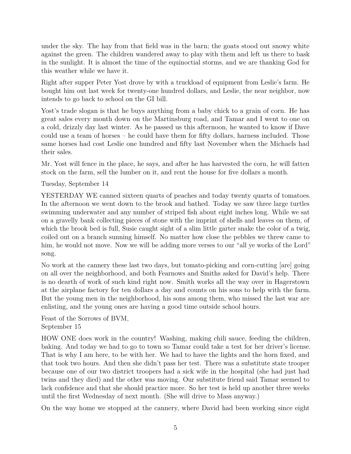under the sky. The hay from that field was in the barn; the goats stood out snowy white against the green. The children wandered away to play with them and left us there to bask in the sunlight. It is almost the time of the equinoctial storms, and we are thanking God for this weather while we have it.

Right after supper Peter Yost drove by with a truckload of equipment from Leslie's farm. He bought him out last week for twenty-one hundred dollars, and Leslie, the near neighbor, now intends to go back to school on the GI bill.

Yost's trade slogan is that he buys anything from a baby chick to a grain of corn. He has great sales every month down on the Martinsburg road, and Tamar and I went to one on a cold, drizzly day last winter. As he passed us this afternoon, he wanted to know if Dave could use a team of horses – he could have them for fifty dollars, harness included. Those same horses had cost Leslie one hundred and fifty last November when the Michaels had their sales.

Mr. Yost will fence in the place, he says, and after he has harvested the corn, he will fatten stock on the farm, sell the lumber on it, and rent the house for five dollars a month.

Tuesday, September 14

YESTERDAY WE canned sixteen quarts of peaches and today twenty quarts of tomatoes. In the afternoon we went down to the brook and bathed. Today we saw three large turtles swimming underwater and any number of striped fish about eight inches long. While we sat on a gravelly bank collecting pieces of stone with the imprint of shells and leaves on them, of which the brook bed is full, Susie caught sight of a slim little garter snake the color of a twig, coiled out on a branch sunning himself. No matter how close the pebbles we threw came to him, he would not move. Now we will be adding more verses to our "all ye works of the Lord" song.

No work at the cannery these last two days, but tomato-picking and corn-cutting [are] going on all over the neighborhood, and both Fearnows and Smiths asked for David's help. There is no dearth of work of such kind right now. Smith works all the way over in Hagerstown at the airplane factory for ten dollars a day and counts on his sons to help with the farm. But the young men in the neighborhood, his sons among them, who missed the last war are enlisting, and the young ones are having a good time outside school hours.

Feast of the Sorrows of BVM, September 15

HOW ONE does work in the country! Washing, making chili sauce, feeding the children, baking. And today we had to go to town so Tamar could take a test for her driver's license. That is why I am here, to be with her. We had to have the lights and the horn fixed, and that took two hours. And then she didn't pass her test. There was a substitute state trooper because one of our two district troopers had a sick wife in the hospital (she had just had twins and they died) and the other was moving. Our substitute friend said Tamar seemed to lack confidence and that she should practice more. So her test is held up another three weeks until the first Wednesday of next month. (She will drive to Mass anyway.)

On the way home we stopped at the cannery, where David had been working since eight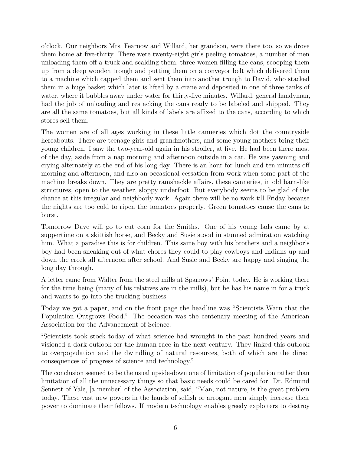o'clock. Our neighbors Mrs. Fearnow and Willard, her grandson, were there too, so we drove them home at five-thirty. There were twenty-eight girls peeling tomatoes, a number of men unloading them off a truck and scalding them, three women filling the cans, scooping them up from a deep wooden trough and putting them on a conveyor belt which delivered them to a machine which capped them and sent them into another trough to David, who stacked them in a huge basket which later is lifted by a crane and deposited in one of three tanks of water, where it bubbles away under water for thirty-five minutes. Willard, general handyman, had the job of unloading and restacking the cans ready to be labeled and shipped. They are all the same tomatoes, but all kinds of labels are affixed to the cans, according to which stores sell them.

The women are of all ages working in these little canneries which dot the countryside hereabouts. There are teenage girls and grandmothers, and some young mothers bring their young children. I saw the two-year-old again in his stroller, at five. He had been there most of the day, aside from a nap morning and afternoon outside in a car. He was yawning and crying alternately at the end of his long day. There is an hour for lunch and ten minutes off morning and afternoon, and also an occasional cessation from work when some part of the machine breaks down. They are pretty ramshackle affairs, these canneries, in old barn-like structures, open to the weather, sloppy underfoot. But everybody seems to be glad of the chance at this irregular and neighborly work. Again there will be no work till Friday because the nights are too cold to ripen the tomatoes properly. Green tomatoes cause the cans to burst.

Tomorrow Dave will go to cut corn for the Smiths. One of his young lads came by at suppertime on a skittish horse, and Becky and Susie stood in stunned admiration watching him. What a paradise this is for children. This same boy with his brothers and a neighbor's boy had been sneaking out of what chores they could to play cowboys and Indians up and down the creek all afternoon after school. And Susie and Becky are happy and singing the long day through.

A letter came from Walter from the steel mills at Sparrows' Point today. He is working there for the time being (many of his relatives are in the mills), but he has his name in for a truck and wants to go into the trucking business.

Today we got a paper, and on the front page the headline was "Scientists Warn that the Population Outgrows Food." The occasion was the centenary meeting of the American Association for the Advancement of Science.

"Scientists took stock today of what science had wrought in the past hundred years and visioned a dark outlook for the human race in the next century. They linked this outlook to overpopulation and the dwindling of natural resources, both of which are the direct consequences of progress of science and technology."

The conclusion seemed to be the usual upside-down one of limitation of population rather than limitation of all the unnecessary things so that basic needs could be cared for. Dr. Edmund Sennett of Yale, [a member] of the Association, said, "Man, not nature, is the great problem today. These vast new powers in the hands of selfish or arrogant men simply increase their power to dominate their fellows. If modern technology enables greedy exploiters to destroy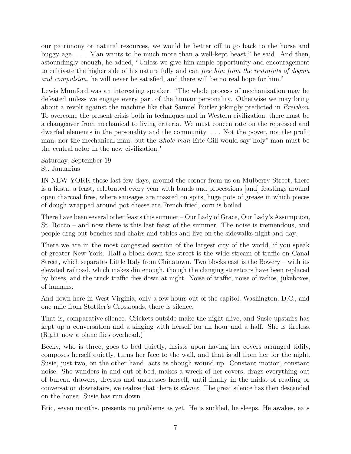our patrimony or natural resources, we would be better off to go back to the horse and buggy age. . . . Man wants to be much more than a well-kept beast," he said. And then, astoundingly enough, he added, "Unless we give him ample opportunity and encouragement to cultivate the higher side of his nature fully and can *free him from the restraints of dogma and compulsion,* he will never be satisfied, and there will be no real hope for him."

Lewis Mumford was an interesting speaker. "The whole process of mechanization may be defeated unless we engage every part of the human personality. Otherwise we may bring about a revolt against the machine like that Samuel Butler jokingly predicted in *Erewhon.* To overcome the present crisis both in techniques and in Western civilization, there must be a changeover from mechanical to living criteria. We must concentrate on the repressed and dwarfed elements in the personality and the community. . . . Not the power, not the profit man, nor the mechanical man, but the *whole man* Eric Gill would say"holy" man must be the central actor in the new civilization."

Saturday, September 19 St. Januarius

IN NEW YORK these last few days, around the corner from us on Mulberry Street, there is a fiesta, a feast, celebrated every year with bands and processions [and] feastings around open charcoal fires, where sausages are roasted on spits, huge pots of grease in which pieces of dough wrapped around pot cheese are French fried, corn is boiled.

There have been several other feasts this summer – Our Lady of Grace, Our Lady's Assumption, St. Rocco – and now there is this last feast of the summer. The noise is tremendous, and people drag out benches and chairs and tables and live on the sidewalks night and day.

There we are in the most congested section of the largest city of the world, if you speak of greater New York. Half a block down the street is the wide stream of traffic on Canal Street, which separates Little Italy from Chinatown. Two blocks east is the Bowery – with its elevated railroad, which makes din enough, though the clanging streetcars have been replaced by buses, and the truck traffic dies down at night. Noise of traffic, noise of radios, jukeboxes, of humans.

And down here in West Virginia, only a few hours out of the capitol, Washington, D.C., and one mile from Stottler's Crossroads, there is silence.

That is, comparative silence. Crickets outside make the night alive, and Susie upstairs has kept up a conversation and a singing with herself for an hour and a half. She is tireless. (Right now a plane flies overhead.)

Becky, who is three, goes to bed quietly, insists upon having her covers arranged tidily, composes herself quietly, turns her face to the wall, and that is all from her for the night. Susie, just two, on the other hand, acts as though wound up. Constant motion, constant noise. She wanders in and out of bed, makes a wreck of her covers, drags everything out of bureau drawers, dresses and undresses herself, until finally in the midst of reading or conversation downstairs, we realize that there is *silence.* The great silence has then descended on the house. Susie has run down.

Eric, seven months, presents no problems as yet. He is suckled, he sleeps. He awakes, eats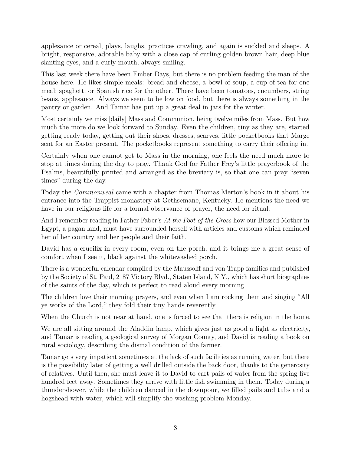applesauce or cereal, plays, laughs, practices crawling, and again is suckled and sleeps. A bright, responsive, adorable baby with a close cap of curling golden brown hair, deep blue slanting eyes, and a curly mouth, always smiling.

This last week there have been Ember Days, but there is no problem feeding the man of the house here. He likes simple meals: bread and cheese, a bowl of soup, a cup of tea for one meal; spaghetti or Spanish rice for the other. There have been tomatoes, cucumbers, string beans, applesauce. Always we seem to be low on food, but there is always something in the pantry or garden. And Tamar has put up a great deal in jars for the winter.

Most certainly we miss [daily] Mass and Communion, being twelve miles from Mass. But how much the more do we look forward to Sunday. Even the children, tiny as they are, started getting ready today, getting out their shoes, dresses, scarves, little pocketbooks that Marge sent for an Easter present. The pocketbooks represent something to carry their offering in.

Certainly when one cannot get to Mass in the morning, one feels the need much more to stop at times during the day to pray. Thank God for Father Frey's little prayerbook of the Psalms, beautifully printed and arranged as the breviary is, so that one can pray "seven times" during the day.

Today the *Commonweal* came with a chapter from Thomas Merton's book in it about his entrance into the Trappist monastery at Gethsemane, Kentucky. He mentions the need we have in our religious life for a formal observance of prayer, the need for ritual.

And I remember reading in Father Faber's *At the Foot of the Cross* how our Blessed Mother in Egypt, a pagan land, must have surrounded herself with articles and customs which reminded her of her country and her people and their faith.

David has a crucifix in every room, even on the porch, and it brings me a great sense of comfort when I see it, black against the whitewashed porch.

There is a wonderful calendar compiled by the Maussolff and von Trapp families and published by the Society of St. Paul, 2187 Victory Blvd., Staten Island, N.Y., which has short biographies of the saints of the day, which is perfect to read aloud every morning.

The children love their morning prayers, and even when I am rocking them and singing "All ye works of the Lord," they fold their tiny hands reverently.

When the Church is not near at hand, one is forced to see that there is religion in the home.

We are all sitting around the Aladdin lamp, which gives just as good a light as electricity, and Tamar is reading a geological survey of Morgan County, and David is reading a book on rural sociology, describing the dismal condition of the farmer.

Tamar gets very impatient sometimes at the lack of such facilities as running water, but there is the possibility later of getting a well drilled outside the back door, thanks to the generosity of relatives. Until then, she must leave it to David to cart pails of water from the spring five hundred feet away. Sometimes they arrive with little fish swimming in them. Today during a thundershower, while the children danced in the downpour, we filled pails and tubs and a hogshead with water, which will simplify the washing problem Monday.